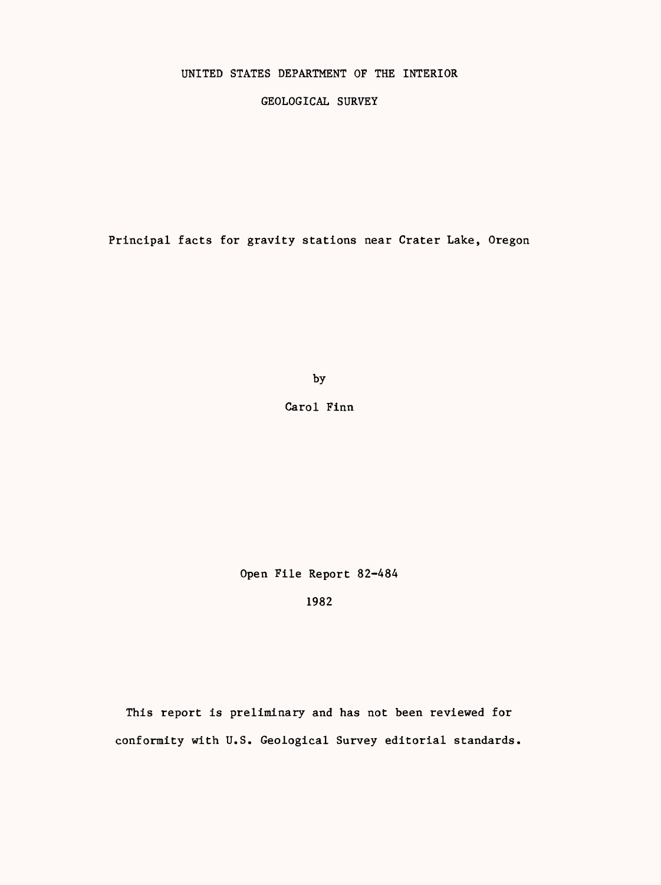## UNITED STATES DEPARTMENT OF THE INTERIOR

GEOLOGICAL SURVEY

Principal facts for gravity stations near Crater Lake, Oregon

by

Carol Finn

Open File Report 82-484

1982

This report is preliminary and has not been reviewed for conformity with U.S. Geological Survey editorial standards.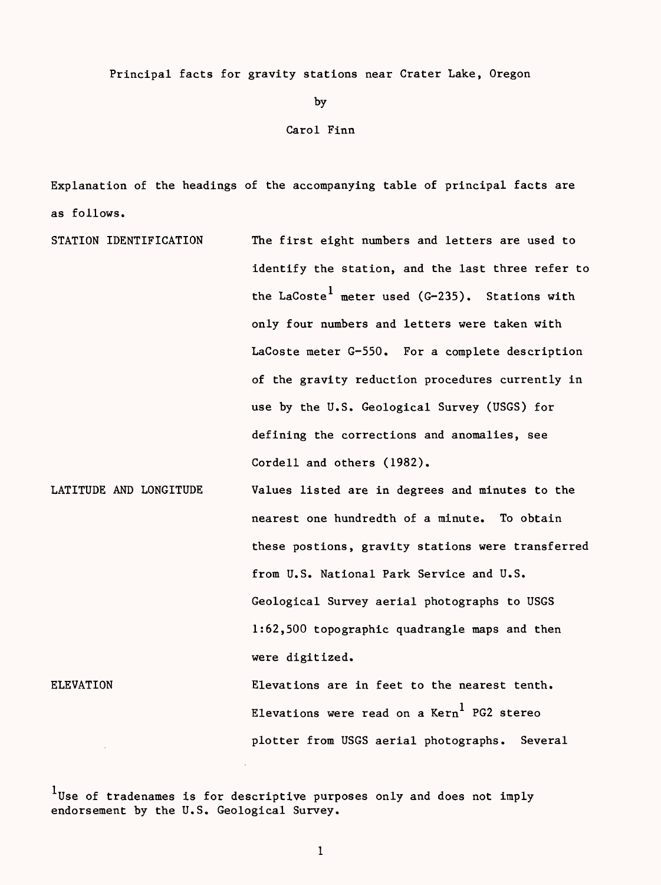Principal facts for gravity stations near Crater Lake, Oregon

by

## Carol Finn

Explanation of the headings of the accompanying table of principal facts are as follows.

STATION IDENTIFICATION LATITUDE AND LONGITUDE ELEVATION The first eight numbers and letters are used to identify the station, and the last three refer to the LaCoste<sup>1</sup> meter used (G-235). Stations with only four numbers and letters were taken with LaCoste meter G-550. For a complete description of the gravity reduction procedures currently in use by the U.S. Geological Survey (USGS) for defining the corrections and anomalies, see Cordell and others (1982). Values listed are in degrees and minutes to the nearest one hundredth of a minute. To obtain these postions, gravity stations were transferred from U.S. National Park Service and U.S. Geological Survey aerial photographs to USGS 1:62,500 topographic quadrangle maps and then were digitized. Elevations are in feet to the nearest tenth. Elevations were read on a  $Kern<sup>1</sup>$  PG2 stereo plotter from USGS aerial photographs. Several

 $1$ Use of tradenames is for descriptive purposes only and does not imply endorsement by the U.S. Geological Survey.

 $\mathbf{1}$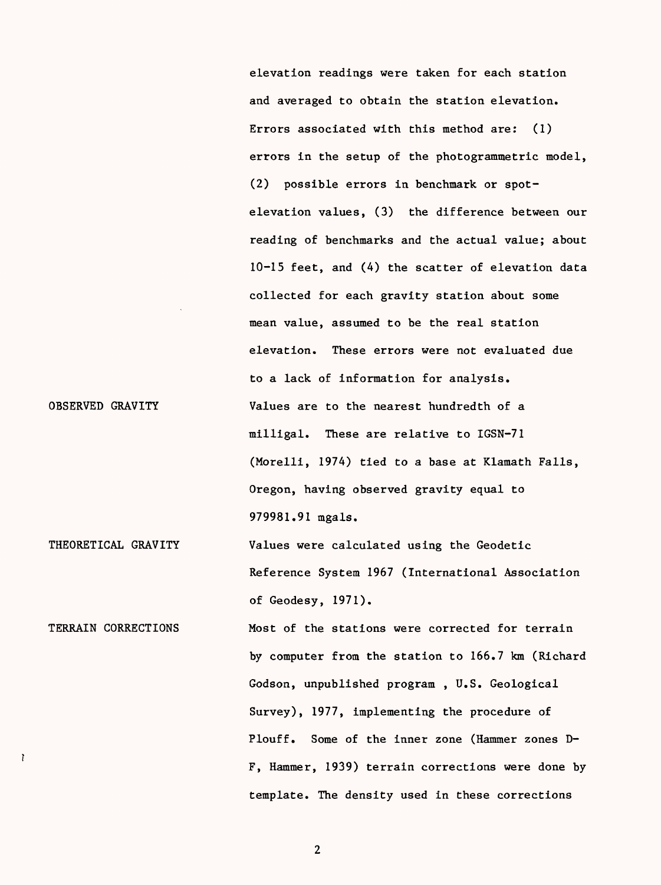elevation readings were taken for each station and averaged to obtain the station elevation. Errors associated with this method are: (1) errors in the setup of the photogrammetric model, (2) possible errors in benchmark or spotelevation values, (3) the difference between our reading of benchmarks and the actual value; about 10-15 feet, and (4) the scatter of elevation data collected for each gravity station about some mean value, assumed to be the real station elevation. These errors were not evaluated due to a lack of information for analysis. Values are to the nearest hundredth of a milligal. These are relative to IGSN-71 (Morelli, 1974) tied to a base at Klamath Falls, Oregon, having observed gravity equal to 979981.91 mgals.

THEORETICAL GRAVITY Values were calculated using the Geodetic Reference System 1967 (International Association of Geodesy, 1971).

OBSERVED GRAVITY

<sup>7</sup>

TERRAIN CORRECTIONS Most of the stations were corrected for terrain by computer from the station to 166.7 km (Richard Godson, unpublished program , U.S. Geological Survey), 1977, implementing the procedure of Plouff. Some of the inner zone (Hammer zones D-F, Hammer, 1939) terrain corrections were done by template. The density used in these corrections

 $\overline{2}$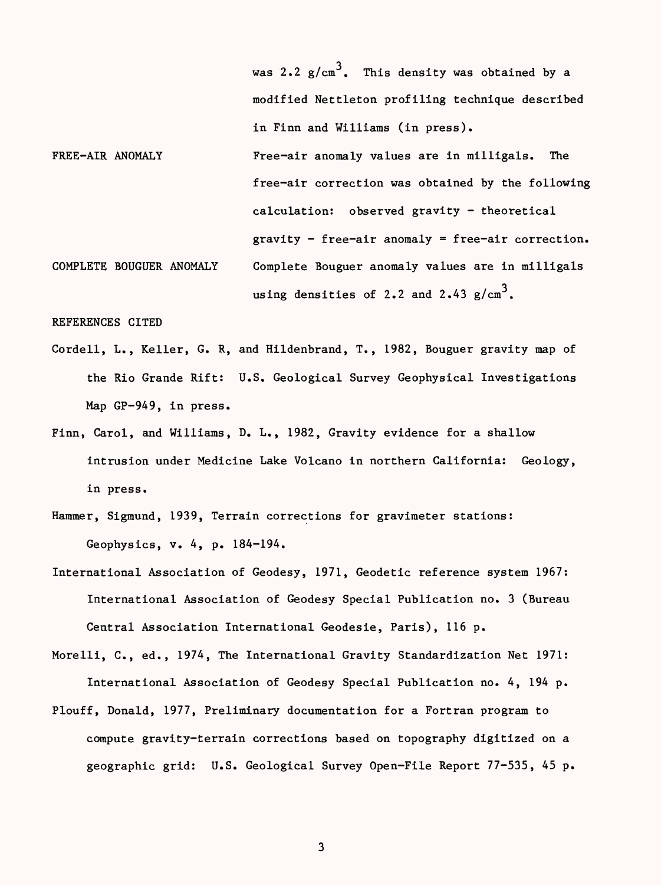was 2.2  $g/cm<sup>3</sup>$ . This density was obtained by a modified Nettleton profiling technique described in Finn and Williams (in press). FREE-AIR ANOMALY **Free-air anomaly values are in milligals.** The free-air correction was obtained by the following calculation: observed gravity - theoretical gravity - free-air anomaly = free-air correction. COMPLETE BOUGUER ANOMALY Complete Bouguer anomaly values are in milligals using densities of 2.2 and 2.43  $\rm g/cm^3$ .

REFERENCES CITED

- Cordell, L., Keller, G. R, and Hildenbrand, T., 1982, Bouguer gravity map of the Rio Grande Rift: U.S. Geological Survey Geophysical Investigations Map GP-949, in press.
- Finn, Carol, and Williams, D. L., 1982, Gravity evidence for a shallow intrusion under Medicine Lake Volcano in northern California: Geology, in press.
- Hammer, Sigmund, 1939, Terrain corrections for gravimeter stations: Geophysics, v. 4, p. 184-194.
- International Association of Geodesy, 1971, Geodetic reference system 1967: International Association of Geodesy Special Publication no. 3 (Bureau Central Association International Geodesie, Paris), 116 p.
- Morelli, C., ed., 1974, The International Gravity Standardization Net 1971: International Association of Geodesy Special Publication no. 4, 194 p.
- Plouff, Donald, 1977, Preliminary documentation for a Fortran program to compute gravity-terrain corrections based on topography digitized on a geographic grid: U.S. Geological Survey Open-File Report 77-535, 45 p.

3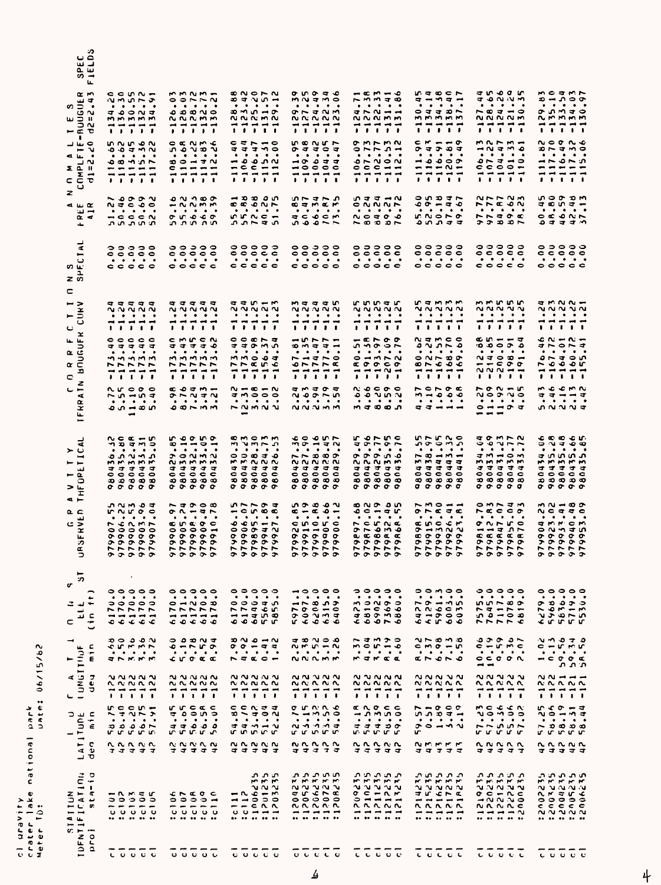| ာ<br>د تي<br>ى بە<br>$\omega$ $-$<br>L                                                                                                                                                     |                                                                                                                                                                                                                                                                                                  |                                                                                                                                                                                                                                                                                                                                                                                                                                                                                                                                                                                                                                                                                                                               |                                                                                                                                                                                                                                                                                                                                                                                                                                                                    |                                                                                                                                                                                                                                                                                                                                                                                                    |                                                                                                                                                                                                                                                                            |                                                                                                                                                                                                                                                                                                                                                                                                                                                                                                                                                                                                                                         |                                                                                                                                                                                                                                                                                                                                                                                                                                    |                                                                                                                                                                                                                                                                                                                                                                |
|--------------------------------------------------------------------------------------------------------------------------------------------------------------------------------------------|--------------------------------------------------------------------------------------------------------------------------------------------------------------------------------------------------------------------------------------------------------------------------------------------------|-------------------------------------------------------------------------------------------------------------------------------------------------------------------------------------------------------------------------------------------------------------------------------------------------------------------------------------------------------------------------------------------------------------------------------------------------------------------------------------------------------------------------------------------------------------------------------------------------------------------------------------------------------------------------------------------------------------------------------|--------------------------------------------------------------------------------------------------------------------------------------------------------------------------------------------------------------------------------------------------------------------------------------------------------------------------------------------------------------------------------------------------------------------------------------------------------------------|----------------------------------------------------------------------------------------------------------------------------------------------------------------------------------------------------------------------------------------------------------------------------------------------------------------------------------------------------------------------------------------------------|----------------------------------------------------------------------------------------------------------------------------------------------------------------------------------------------------------------------------------------------------------------------------|-----------------------------------------------------------------------------------------------------------------------------------------------------------------------------------------------------------------------------------------------------------------------------------------------------------------------------------------------------------------------------------------------------------------------------------------------------------------------------------------------------------------------------------------------------------------------------------------------------------------------------------------|------------------------------------------------------------------------------------------------------------------------------------------------------------------------------------------------------------------------------------------------------------------------------------------------------------------------------------------------------------------------------------------------------------------------------------|----------------------------------------------------------------------------------------------------------------------------------------------------------------------------------------------------------------------------------------------------------------------------------------------------------------------------------------------------------------|
| $\alpha$ m<br>9014<br>u mi<br>$ \in$ $\in$<br>$\mathbf{L}$<br>0 سا ب<br>—~ บ<br><b>au .</b><br>z 군 ?<br>$\overline{z}$ $\overline{z}$<br><b>CCT</b><br>ں                                   | $c$ $c$ $n$ $n$ $n$<br>いいいしゃ<br>.<br>$\frac{1}{2}$ $\frac{1}{2}$ $\frac{1}{2}$<br>mmmmm<br>------<br>.<br>nnnon<br>$0.07$ M $N$<br>2075<br>-----<br>------<br>.                                                                                                                                  | $M$ $M$ $M$ $m$<br>0.9750<br>.<br>00000<br><b>NNNMM</b><br>-----<br>, , , , ,<br>$\alpha$ $\alpha$ $\beta$ $\gamma$ $\alpha$<br>ທ່ວນສາ<br>.<br>$\bullet \circ \bullet \bullet \bullet$<br>$\begin{array}{c} \mathbf{C} \end{array} \begin{array}{c} \mathbf{C} \end{array} \begin{array}{c} \mathbf{C} \end{array} \begin{array}{c} \mathbf{C} \end{array} \begin{array}{c} \mathbf{C} \end{array} \begin{array}{c} \mathbf{C} \end{array} \begin{array}{c} \mathbf{C} \end{array} \begin{array}{c} \mathbf{C} \end{array} \begin{array}{c} \mathbf{C} \end{array} \begin{array}{c} \mathbf{C} \end{array} \begin{array}{c} \mathbf{C} \end{array} \begin{array}{c} \mathbf{C} \end{array} \begin{array$<br>-----<br><b>.</b> | $27 \times 10 - 1$<br>$\begin{array}{cccccccccccccc} \bullet & \bullet & \bullet & \bullet & \bullet & \bullet & \bullet & \bullet \end{array}$<br>$30M_0 - 7$<br>NNNMN<br>-----<br>.<br>$\begin{array}{c} \n \text{c} \\ \n \text{c} \\ \n \end{array}$<br>マココいつ<br>$\begin{array}{cccccccccccccc} \bullet & \bullet & \bullet & \bullet & \bullet & \bullet & \bullet \end{array}$<br>- 0 0 0 0<br>$-0$<br>------<br>, , , , ,                                   | $\sigma$ in $\sigma$ = $\sim$<br>mutmo<br>$\begin{array}{cccccccccccccc} \bullet & \bullet & \bullet & \bullet & \bullet & \bullet & \bullet \end{array}$<br>$9 - 3 - 9$<br><b>NNNNN</b><br>-----<br>, , , , ,<br><b>UCULA</b><br>のすすつす<br>.<br>$\rightarrow$ $\rightarrow$ $\rightarrow$ $\rightarrow$ $\rightarrow$<br>$\overline{\phantom{a}}$ . $\overline{\phantom{a}}$<br>-----<br>, , , , , | $    -$<br><b>NW48</b><br>.<br>$30.2 - 1$<br>NNNMM<br>-----<br>, , , , ,<br>$\sigma$ mrm $\alpha$<br>っトトコー<br>$\begin{array}{cccccccccccccc} \bullet & \bullet & \bullet & \bullet & \bullet & \bullet \end{array}$<br>$\bullet$<br>$0 \sim 0$<br>0 0 0 1 1<br>------<br>. | <b>USOCP</b><br>$\frac{1}{2}$ - $\frac{1}{2}$ - $\frac{1}{2}$<br>$\cdots\cdots\cdots$<br>0 3 3 3 6<br>MMMMM<br>-----<br>.<br>$C$ $M - H$ $T$<br><b>ひ さ ひ む さ</b><br>.<br>$\rightarrow \bullet \bullet \circ \bullet$<br>$- - - \alpha -$<br>-----<br>,,,,,                                                                                                                                                                                                                                                                                                                                                                              | <b>CONNA</b><br>$\begin{array}{cccccccccccccc} \bullet & \bullet & \bullet & \bullet & \bullet & \bullet & \bullet & \bullet \end{array}$<br>$\sim$ $\sigma$ $\sigma$ $\sim$ $\sim$<br><b>NNNNM</b><br>-----<br>.<br>marm-<br>M <sub>0</sub><br>$\bullet\quad\bullet$<br>$\bullet\quad\bullet\quad\bullet$<br>.<br>$\circ\circ\circ\circ$ $\sim$<br>-----<br><b>.</b>                                                              | いりょう<br>$\mathfrak{p}\rightarrow\mathfrak{p}\circ\mathfrak{p}$<br>$\begin{array}{cccccccccccccc} \bullet & \bullet & \bullet & \bullet & \bullet & \bullet & \bullet \end{array}$<br>ひいいすつ<br><b>NMMMM</b><br>-----<br><b>.</b><br>20022<br>カトコハロ<br>.<br>-- - - 2<br>-----<br>------<br><b><i>.</i></b>                                                       |
| z<br>4.42<br>$\mathbf{u}$<br>$\alpha$ $\sim$<br>المله                                                                                                                                      | $\sim$ 000 $\sim$<br>$N = C$<br>.<br>$- 0 0 0 0$<br>ת חת חת                                                                                                                                                                                                                                      | 0.990<br>$M \sim 2$<br>.<br>$\sigma$ in a c $\sigma$<br>מת התת                                                                                                                                                                                                                                                                                                                                                                                                                                                                                                                                                                                                                                                                | $\rightarrow$ 3334 $\rightarrow$<br><b>CCONN</b><br>.<br>C C C<br>ひひんさひ                                                                                                                                                                                                                                                                                                                                                                                            | いついつ<br><b>COMER</b><br>$\begin{array}{cccccccccccccc} \bullet & \bullet & \bullet & \bullet & \bullet & \bullet & \bullet & \bullet \end{array}$<br><b>AC OCW</b><br>-- - - - -                                                                                                                                                                                                                   | いっさーい<br>CNNNN<br>.<br>0.0700<br>$\sim$ 30 30 $\sim$                                                                                                                                                                                                                       | ついひさい<br>$00 - 40$<br>$\cdots\cdots\cdots$<br><b>ICNOLO</b><br>やいひつ                                                                                                                                                                                                                                                                                                                                                                                                                                                                                                                                                                     | $N \sim N$<br>$P$ $R$ $R$ $Q$ $N$<br>$\cdots\cdots\cdots\cdots$<br><b>FF406</b><br>こうめやん                                                                                                                                                                                                                                                                                                                                           | <b>UOGOW</b><br>さのいさー<br>$\begin{array}{cccccccccccccc} \bullet & \bullet & \bullet & \bullet & \bullet & \bullet & \bullet \end{array}$<br>$\circ$ $\circ$ $\circ$ $\circ$ $\sim$<br>ひさすさい                                                                                                                                                                    |
| $\vec{a}$<br>$\blacksquare$<br>$\circ$<br>ທພ<br>$\mathbf{a}$<br>z ທ                                                                                                                        | $\begin{array}{ccc} \circ & \circ & \circ & \circ \end{array}$<br>$\circ \circ \circ \circ \circ$<br>$\begin{array}{cccccccccccccc} \bullet & \bullet & \bullet & \bullet & \bullet & \bullet & \bullet & \bullet \end{array}$<br>$c \circ c \circ c$                                            | $- - - -$<br>$\circ \circ \circ \circ \circ$<br>$\cdots\cdots\cdots$<br>$\circ \circ \circ \circ \circ$                                                                                                                                                                                                                                                                                                                                                                                                                                                                                                                                                                                                                       | $\circ\circ\circ\circ\circ$<br>$\circ \circ \circ \circ \circ$<br>$\cdots\cdots\cdots$<br>$c$ $c$ $c$ $c$ $c$                                                                                                                                                                                                                                                                                                                                                      | $\circ \circ \circ \circ \circ$<br>$\circ \circ \circ \circ \circ$<br>$\begin{array}{cccccccccccccc} \bullet & \bullet & \bullet & \bullet & \bullet & \bullet & \bullet & \bullet \end{array}$<br>$\circ \circ \circ \circ \circ$                                                                                                                                                                 | $\circ\circ\circ\circ\circ$<br>$\circ \circ \circ \circ \circ$<br>$\cdots\cdots\cdots$<br>$\circ \circ \circ \circ \circ$                                                                                                                                                  | $\bullet\bullet\bullet\bullet\bullet$<br>$\circ \circ \circ \circ \circ$<br>$\begin{array}{cccccccccccccc} \bullet & \bullet & \bullet & \bullet & \bullet & \bullet & \bullet & \bullet \end{array}$<br>$\circ \circ \circ \circ \circ$                                                                                                                                                                                                                                                                                                                                                                                                | $\circ \circ \circ \circ \circ$<br>$\circ \circ \circ \circ \circ$<br>$\begin{array}{cccccccccccccc} \bullet & \bullet & \bullet & \bullet & \bullet & \bullet & \bullet & \bullet \end{array}$<br>$\circ \circ \circ \circ \circ$                                                                                                                                                                                                 | $\circ \circ \circ \circ \circ$<br>cccco<br>.<br>$\circ \circ \circ \circ \circ$                                                                                                                                                                                                                                                                               |
| c<br>$ >$<br>$-3$<br>ں<br>$\frac{c}{\epsilon}$<br>$-5$<br>$\alpha$ $c$<br>$\alpha$ $\geq$<br>b<br>c<br>z<br>⊶ ب<br>$\blacktriangleleft$<br>$\alpha$<br>x<br>u.<br>$\overline{\phantom{a}}$ | <b>SSSSS</b><br><b>NNNNN</b><br>.<br>------<br>.<br>$\circ \circ \circ \circ \circ$<br>विवकवा क<br>.<br>mmmmm<br>ファンファ<br>------<br><b>PERTI</b><br><b>NUCOC</b><br>$\sim$ 0 $-$ 10 $\pi$<br>.<br>$0.0 - 0.0$<br>$\overline{\phantom{a}}$                                                        | -----<br><b>NNNNN</b><br>$\begin{array}{cccccccccccccc} \bullet & \bullet & \bullet & \bullet & \bullet & \bullet & \bullet \end{array}$<br>-----<br>, , , , ,<br>cmrcn<br>ささささめ<br>$\begin{array}{cccccccccccccc} \bullet & \bullet & \bullet & \bullet & \bullet & \bullet & \bullet \end{array}$<br>MMMMM<br>トトトトト<br>------<br><b>.</b><br>co <del>a</del> m-<br>0.5040<br>$\cdots\cdots\cdots$<br>00000                                                                                                                                                                                                                                                                                                                  | ココリール<br>$\sim$ $\sim$ $\sim$ $\sim$<br>$\begin{array}{cccccccccccccc} \bullet & \bullet & \bullet & \bullet & \bullet & \bullet & \bullet & \bullet \end{array}$<br>-----<br><b>.</b><br>000R <sub>5</sub><br>ママのMの<br>$\begin{array}{cccccccccccccc} \bullet & \bullet & \bullet & \bullet & \bullet & \bullet & \bullet \end{array}$<br><b>MMOOT</b><br>アアスルの<br>-----<br>,,,,,<br>$\sim$ $ \sim$ $ \sim$<br>さいつつつ<br>$\cdots\cdots\cdots\cdots$<br>$N$ $M$ $N$ | maaan<br>ิจจจจจ<br>.<br>-----<br>.<br>$-0.77$<br>$0$ maan<br>$\begin{array}{cccccccccccccc} \bullet & \bullet & \bullet & \bullet & \bullet & \bullet & \bullet \end{array}$<br>-----<br>$0 \sim 0$<br>------<br>,,,,,<br>マルコクシ<br>$\sim$ $\sim$ $\sim$ $\sim$<br>.<br>$N$ $N$ $N$ $M$                                                                                                             | rnnar<br>៶៶៶៶៶៶៶<br>.<br>------<br>.<br>$     -$<br>いいのう<br>$\begin{array}{cccccccccccccc} \bullet & \bullet & \bullet & \bullet & \bullet & \bullet & \bullet \end{array}$<br>$0 - M N$<br><b>cooco</b><br>$- - - 0 -$<br>, , , , ,<br>0.0000<br>0.0102<br>.<br>m toon    | <b>SAWWW</b><br><b>NNNNN</b><br>$\begin{array}{cccccccccccccc} \bullet & \bullet & \bullet & \bullet & \bullet & \bullet & \bullet & \bullet \end{array}$<br>------<br>.<br>Namco<br>0.7000<br>.<br>$\circ$ $\sim$ $\circ$ $\circ$<br>$0 \sim 0.0$<br>-----<br><b>.</b><br>$\begin{array}{c} 1 \end{array}$<br>.<br><b>a a - - -</b>                                                                                                                                                                                                                                                                                                    | mmnnn<br>$N$ $N$ $N$ $N$<br>.<br>-----<br><b>.</b><br>$60 - 17$<br>0.0000<br>.<br>$\sim 30.2$<br>$--\circ \circ \circ$<br>$\sim$ $\sim$ $\sim$ $\sim$ $\sim$<br><b><i><u>B</u></i></b> B<br>トゥぃーい<br>$\sim$ $\sim$ $\sim$<br>.<br>$- - - - -$<br>---                                                                                                                                                                               | $7000 -$<br>$\sim$ $\sim$ $\sim$<br>$\cdots$<br>------<br><b><i><u>IIIII</u></i></b><br><b>- 11 - 12 - 12</b><br>コトロトコ<br>.<br>$0 \sim T \circ 0$<br>2000<br>------<br><b><i>BBBBBBB</i></b><br>n c c n n<br>ママーーマ<br>$\begin{array}{cccccccccccccc} \bullet & \bullet & \bullet & \bullet & \bullet & \bullet & \bullet & \bullet \end{array}$<br><b>DNNN</b> |
| $\overline{\mathbf{a}}$<br>$\sim$ 0<br>$\overline{\phantom{0}}$<br>$- -$<br>$-\frac{u}{\alpha}$<br>ం<br>ــا <<br>工                                                                         | $\sim$ $\alpha$ $ \sim$<br><b>CHECH</b><br>.<br>on v n n<br>MMMMM<br>マママママ<br>$\circ \circ \circ \circ \circ$<br>- ၁၀-၁၀-၁၁<br>$\begin{array}{ccccccccccccccccc} \circ & \circ & \circ & \circ & \circ & \circ \end{array}$                                                                      | rooro<br>$\bullet \rightarrow \bullet \bullet \rightarrow$<br>$\begin{array}{cccccccccccccc} \bullet & \bullet & \bullet & \bullet & \bullet & \bullet \end{array}$<br>$\bullet$<br><b>DONNY</b><br><b>NMMMM</b><br>さささささ<br>$\circ\circ\circ\circ$<br><b>.</b><br>$\circ \circ \circ \circ \circ$                                                                                                                                                                                                                                                                                                                                                                                                                            | m<br>$M$ $M$ $M$ $M$<br>$\cdots\cdots\cdots\cdots$<br>0.0010<br>mmnnn<br>マママママ<br>$\circ \circ \circ \circ \circ$<br><b>303330</b><br>$\circ \circ \circ \circ \circ$                                                                                                                                                                                                                                                                                              | coopr<br>$M0 - J0$<br>$\begin{array}{cccccccccccccc} \bullet & \bullet & \bullet & \bullet & \bullet & \bullet & \bullet & \bullet \end{array}$<br>$\sim$ $\sim$ $\infty$ $\infty$<br><b>NNNNN</b><br>さささささ<br>$\circ \circ \circ \circ \circ$<br>-----<br>$\circ \circ \circ \circ \circ$                                                                                                         | <b>Lornc</b><br>コのへのへ<br>$\cdots\cdots\cdots$<br>の の の の の<br><b>NNNMM</b><br>विवकव क<br>$\circ \circ \circ \circ \circ$<br>-----<br>0 0 0 0 0                                                                                                                             | 0.700<br>n o o n n<br>$\cdots\cdots\cdots$<br>$\sim$ $\sigma$ $\sim$ $\sim$<br>うつりせい<br>コココココ<br><b>00000</b><br>-----<br>$\sigma$ $\sigma$ $\sigma$ $\sigma$                                                                                                                                                                                                                                                                                                                                                                                                                                                                           | コのいつい<br>0.015<br>.<br>$\frac{1}{2}$ $\frac{1}{2}$ $\frac{1}{2}$ $\frac{1}{2}$ $\frac{1}{2}$ $\frac{1}{2}$ $\frac{1}{2}$ $\frac{1}{2}$ $\frac{1}{2}$ $\frac{1}{2}$ $\frac{1}{2}$ $\frac{1}{2}$ $\frac{1}{2}$ $\frac{1}{2}$ $\frac{1}{2}$ $\frac{1}{2}$ $\frac{1}{2}$ $\frac{1}{2}$ $\frac{1}{2}$ $\frac{1}{2}$ $\frac{1}{2}$ $\frac{1}{2}$<br><b>3233</b><br>さささささ<br>$\circ \circ \circ \circ \circ$<br><b>30333</b><br>0 0 0 0 0 | よめめとれ<br><b>ON T Y O</b><br>.<br>すいいいつ<br><b>32533</b><br>さすすすす<br><b>coccc</b><br><b>.</b><br>$\begin{array}{ccc} \circ & \circ & \circ & \circ \end{array}$                                                                                                                                                                                                  |
| $\sim$ $\sim$<br>ء ۽<br>الف<br>c ><br>$\propto$<br>ш<br>ω<br>α<br>∍                                                                                                                        | <b>DOMNC</b><br>ruroc<br>.<br>rcrwr<br>$\circ \circ \circ \circ \circ$<br>$\bullet\bullet\bullet\bullet\bullet$<br>$\boldsymbol{\alpha} \boldsymbol{\alpha} \boldsymbol{\alpha} \boldsymbol{\alpha} \boldsymbol{\alpha}$<br>ファファ<br><b>00000</b>                                                 | $\sim$ $\sim$ $\sim$ $\sim$ $\sim$<br>$0.0 - 3.0$<br>.<br><b>concoc</b><br>$\circ \circ \circ \circ \dashv$<br>$\circ \circ \circ \circ \circ$<br>$\mathcal{P}$ $\mathcal{P}$ $\mathcal{P}$ $\mathcal{P}$ $\mathcal{P}$<br>トトトトト<br>$\sigma \circ \sigma \circ \sigma$                                                                                                                                                                                                                                                                                                                                                                                                                                                        | ひときのは<br>$     -$<br>くんツーレ<br>$\circ$ $\circ$ $\circ$ $\circ$<br>$\bm{\sigma}$ $\bm{\sigma}$ $\bm{\sigma}$ $\bm{\sigma}$ $\bm{\sigma}$<br><b>ヌ ひ ひ ひ ひ</b><br>トトトトト<br>ᠦ<br>$\bullet$<br>$\mathbf{o} \cdot \mathbf{o} \cdot \mathbf{v}$                                                                                                                                                                                                                            | nooou<br>$\begin{array}{c} \n \alpha - \alpha & \alpha - \n \end{array}$<br>.<br>cnorc<br>$\sim$ $\sim$ $\sim$ $\sim$<br>0 0 0 0 0<br><b>ののののの</b><br>トトトトト<br><b>の へ へ の の</b>                                                                                                                                                                                                                    | セローコル<br>$\begin{array}{cccccccccccccc} \bullet & \bullet & \bullet & \bullet & \bullet & \bullet & \bullet \end{array}$<br>rcrna<br>0.0000<br><b>a cocc</b><br>$\bullet\bullet\bullet\bullet\bullet$<br>トトトトト<br><b>00000</b>                                             | $R$ $M$ $\circ$ $ -$<br>$\sigma \vdash \alpha \exists \alpha$<br>.<br><b>crccr</b><br>$\sigma$ $\rightarrow$ $\sim$ $\sim$ $\sim$<br>$\bullet$ $\bullet$ $\bullet$ $\bullet$<br>$\sigma \sigma \sigma \sigma \sigma$<br>トトトトト<br>ຼ<br>$\mathbf{\sigma}$<br>$\sigma$                                                                                                                                                                                                                                                                                                                                                                     | OMN and M<br>racco<br>.<br>のいいにつ<br>$- - - - - -$<br>ccccc<br><b>ののののの</b><br>トトトトト<br><b>こうひこう</b>                                                                                                                                                                                                                                                                                                                                | m N - O O<br>NCSSO<br>.<br><b>SNNCW</b><br>$\circ$ $\sim$ $\sim$ $\circ$<br>$\bm{\circ}\ \bm{\circ}\ \bm{\circ}\ \bm{\circ}\ \bm{\circ}$<br><b>,,,,,</b><br>ファファフ<br>۰<br>$\mathbf{\sigma}$<br>$\bm{\sigma}$ $\bm{x}$                                                                                                                                          |
| ⊢<br>ဘ<br>U<br>∽<br>٠<br>٠<br>2<br>اب.<br>급<br>$\mathbf{C}$<br>C<br>Ē                                                                                                                      | $\epsilon$<br>$\circ \circ \circ \circ \circ$<br>$\begin{array}{cccccccccccccc} \bullet & \bullet & \bullet & \bullet & \bullet & \bullet & \bullet \end{array}$<br>,,,,,<br>ファア<br>$\overline{a}$<br>$\overline{\phantom{a}}$<br>$\blacksquare$<br>$\overline{\phantom{0}}$<br>⊸<br>0.010<br>۰c | 。。。。。<br>$\begin{array}{cccccccccccccc} \bullet & \bullet & \bullet & \bullet & \bullet & \bullet & \bullet \end{array}$<br>$0 - N 0 0$<br>いいじじし<br>⊸<br>$\bullet \bullet$<br>م ہ<br>c                                                                                                                                                                                                                                                                                                                                                                                                                                                                                                                                        | .<br>$\begin{array}{cccccccccccccc} \bullet & \bullet & \bullet & \bullet & \bullet & \bullet \end{array}$<br>$\bullet$<br>$\circ$<br>م <del>د</del> ت<br>۰<br>61744665                                                                                                                                                                                                                                                                                            | $\overline{•}$<br>$\bullet$<br>$\bullet\hspace{0.1cm}\bullet\hspace{0.1cm}\bullet\hspace{0.1cm}\bullet$<br>٠<br>$-0.007$<br>$\bullet$<br>$\epsilon$<br>$\overline{\phantom{0}}$<br>~<br>$\sim$ $\sim$ $\sim$<br>$\circ$<br>ᠦ<br>÷.<br><b>O</b><br>÷.<br>r.<br>-C)                                                                                                                                  | ,,,,,<br>$\begin{array}{cccccccccccccc} \bullet & \bullet & \bullet & \bullet & \bullet & \bullet \end{array}$<br>$\bullet$<br>n o n o<br>$\Rightarrow$<br>$\bullet$<br>n.<br>$\blacksquare$<br>۰c<br>۰<br>$289 - 8$                                                       | <b>00m00</b><br>$\bullet$<br>$\bullet$<br>$\begin{array}{cccccccccccccc} \bullet & \bullet & \bullet & \bullet & \bullet \end{array}$<br>$\bullet$<br>⊸∽ທ<br>r<br>$\sim$ $\sim$<br>s c m<br>27000                                                                                                                                                                                                                                                                                                                                                                                                                                       | <br>$\begin{array}{cccccccccccccc} \bullet & \bullet & \bullet & \bullet & \bullet & \bullet & \bullet & \bullet \end{array}$<br><b>500000</b><br><b>a</b> - r -<br>r<br>د د د م م<br>アプアアム                                                                                                                                                                                                                                        | 。。。。<br>$\bullet$ . $\bullet$<br>$\bullet$ $\bullet$<br>$\bullet$<br>$\bullet$<br>ᡐ<br>ю<br>$\bullet$<br>$\bullet$<br>4279<br>$\tilde{\mathbf{r}}$<br>$-1$<br>$\infty \sim n$<br>$\tilde{r}$<br>ır ir                                                                                                                                                          |
| c<br><b>TUNGTTINE</b><br>$\overline{\epsilon}$<br>۳                                                                                                                                        | 0 0 0 0 0<br>んちちろフ<br>$\begin{array}{cccccccccccccc} \bullet & \bullet & \bullet & \bullet & \bullet & \bullet \end{array}$<br>$\bullet$<br>コフスろろ                                                                                                                                                | 0.9907<br>ヒートルマ<br>$\begin{array}{cccccccccccccc} \bullet & \bullet & \bullet & \bullet & \bullet & \bullet \end{array}$<br>$\bullet$<br><b>croαα</b>                                                                                                                                                                                                                                                                                                                                                                                                                                                                                                                                                                         | $\sim$ $\sim$ $\sim$ $\sim$<br>$00 - 94$<br>$\begin{array}{cccccccccccccc} \bullet & \bullet & \bullet & \bullet & \bullet & \bullet \end{array}$<br>$\bullet$<br>$R = 0 - 1$                                                                                                                                                                                                                                                                                      | 330 V O O<br>$\mathbf{u} \times \mathbf{v} - \mathbf{v}$<br>$\begin{array}{cccccccccccccc} \bullet & \bullet & \bullet & \bullet & \bullet & \bullet & \bullet \end{array}$<br>NNNMM                                                                                                                                                                                                               | トコハンコ<br><b>39999</b><br>$\bullet$<br>$\bullet$ $\bullet$ $\bullet$<br>MINEE                                                                                                                                                                                               | 20000<br>$c \wedge c - c$<br>$\begin{array}{cccccccccccccc} \bullet & \bullet & \bullet & \bullet & \bullet & \bullet & \bullet & \bullet \end{array}$<br><b>aroro</b>                                                                                                                                                                                                                                                                                                                                                                                                                                                                  | コンショー<br>$c - r$ m $c$<br>$\bullet$<br>$\bullet$ $\bullet$<br>$\bullet$ $\bullet$<br>$\circ$ $\circ$ $\circ$ $\circ$<br>$- -$                                                                                                                                                                                                                                                                                                      | ه <del>د</del> ه ۱۸<br>c – r w r<br>$\bullet$<br>$\bullet$<br>$\bullet$ $\bullet$<br>$\bullet$<br>$  \sigma$ $\sigma$ $\propto$<br>ת תח                                                                                                                                                                                                                        |
| $\sigma$<br>4<br>$\bullet$<br>⊃<br>$\epsilon$<br>∍                                                                                                                                         | งขงขง<br>22020<br>$\overline{\phantom{0}}$<br>$\rightarrow$<br>$\mathbf{r}$<br>$\mathbf{B}$<br>$r \circ c \circ r$ $-$<br>トォリトナ                                                                                                                                                                  | <b>N N N N N</b><br>22002<br>$\overline{\phantom{a}}$<br>$\overline{\phantom{0}}$<br>$\overline{\phantom{a}}$<br>$\mathbf{r}$<br>rrcac<br>さっこいつ                                                                                                                                                                                                                                                                                                                                                                                                                                                                                                                                                                               | $\mathbf{u}\mathbf{v}\mathbf{v}\mathbf{v}\mathbf{v}$<br>៱៱៷៱៷<br>$\blacksquare$<br>$\overline{\phantom{a}}$<br>$- - -$<br>$\mathbf{L}$<br>$\cdots$<br>$C$ $C$ $C$ $T$ $T$<br>$x - 40y$                                                                                                                                                                                                                                                                             | NNVNN<br>NNNNN<br>$\overline{\phantom{a}}$<br>---<br>$\mathbf{r}$<br>$\cdots$<br><b>0 いいいん</b><br><b>i -nno</b>                                                                                                                                                                                                                                                                                    | $\sim$ $\sim$ $\sim$ $\sim$<br>n n n n n<br>$\overline{\phantom{a}}$<br>$\blacksquare$<br>$\rightarrow$ $\rightarrow$<br>$\begin{array}{cccccccccccccc} 1 & 1 & 1 & 1 & 1 & 1 \end{array}$<br>$\mathbf{r}$<br><b>EROCC</b><br>- 0 w 0 0                                    | ៷៷៷៴៷<br>NNNNN<br>$\begin{array}{c} \hline \textbf{1} & \textbf{1} & \textbf{1} & \textbf{1} & \textbf{1} & \textbf{1} & \textbf{1} & \textbf{1} & \textbf{1} & \textbf{1} & \textbf{1} & \textbf{1} & \textbf{1} & \textbf{1} & \textbf{1} & \textbf{1} & \textbf{1} & \textbf{1} & \textbf{1} & \textbf{1} & \textbf{1} & \textbf{1} & \textbf{1} & \textbf{1} & \textbf{1} & \textbf{1} & \textbf{1} & \textbf{1} & \textbf{1} & \textbf{1} &$<br>$\blacksquare$<br>$\overline{\phantom{a}}$<br>$\begin{array}{cccccccccccccc} 1 & 1 & 1 & 1 & 1 & 1 \end{array}$<br>$\mathbf{r}$<br>$\sim$ $\sim$ $\sim$ $\sim$ $\sim$<br>n n n d 4 | งผงขง<br>n n n n n<br>$\overline{\phantom{0}}$<br>$- - -$<br>-<br>$\begin{array}{cccccccccccccc} 1 & 1 & 1 & 1 & 1 \end{array}$<br>$\bullet$<br>ろりゅう<br><b>vomoo</b>                                                                                                                                                                                                                                                               | $\begin{array}{c}\n\alpha \\ \alpha \\ \alpha\n\end{array}$<br>$\overline{\phantom{0}}$<br>$\overline{\phantom{0}}$<br>$\overline{\phantom{a}}$<br>$\mathbf{1}$<br>$\mathbf{B}$<br>$\bullet$<br>いんぴーき<br>$\sim$ $\sim$ $\sim$ $\sim$ $\sim$                                                                                                                    |
| ATITUDE<br>$\blacksquare$<br>ε<br>c<br>υ<br>ہ ب                                                                                                                                            | $\bullet$<br>$\bullet$<br>$\bullet$<br>$\bullet$<br>ာ စ<br>0.07<br><b>ur</b><br>u<br>v<br>r<br>ın.<br>22222<br>さささささ                                                                                                                                                                             | $\bullet$<br>$\bullet$<br>$\bullet$ $\bullet$<br><b>33990</b><br>ທທ<br><b>U.U.U.</b><br>22222<br>उज्जाब                                                                                                                                                                                                                                                                                                                                                                                                                                                                                                                                                                                                                       | $\bullet$<br>$\bullet$<br>$\bullet\bullet\bullet$<br>ココハーツ<br>いいいいん<br>NNNNN<br>य व व व व                                                                                                                                                                                                                                                                                                                                                                          | $\bullet$<br>$\bullet$<br>$\cdots$<br>$M \cap M \cap T$<br>いいいん<br>nnnn<br>マママママ                                                                                                                                                                                                                                                                                                                   | $\bullet$<br>$\bullet$<br>$\bullet$<br>$\bullet$ $\bullet$<br>マママカの<br>いいいい<br>n n n n n<br>वं य वं बं बं                                                                                                                                                                  | $\bullet$<br>$\bullet$<br>$\cdots$<br>$\sim$ $\sim$ $\sim$ $\sim$ $\sim$<br>r.<br><b>NMMKK</b><br>マママママ                                                                                                                                                                                                                                                                                                                                                                                                                                                                                                                                 | $\bullet$<br>$\bullet$<br>$\bullet$<br>$\bullet\hspace{10pt}\bullet\hspace{10pt}$<br>ファクラフ<br>rrrr<br>ır<br>20022<br>ママママナ                                                                                                                                                                                                                                                                                                         | $\bullet$<br>$\bullet$<br>$\bullet$ $\bullet$<br>$\bullet$<br>.<br>r.<br><b>urur</b><br>へへへいへ<br>उ उ उ उ उ                                                                                                                                                                                                                                                     |
| ATINU<br><b>TUN</b><br>$\mathbf{r}$<br>c.<br>TUFNTIFIT<br>TUFNTIFIT<br>Pre                                                                                                                 | ーへいせん<br>$\circ \circ \circ$<br>$\circ$<br>0<br>$- -$<br>$- - -$<br>00000<br>                                                                                                                                                                                                                    | crao c<br>$\circ$<br>0<br>$\circ$<br>$\circ$<br>$\overline{\phantom{a}}$<br>-<br>$\overline{\phantom{m}}$<br>-<br>$ -$<br>00000<br>                                                                                                                                                                                                                                                                                                                                                                                                                                                                                                                                                                                           | იიი<br><b>323</b><br>$\sim \sim \sim$<br>$- \sim$<br>$\mathbf{e}$<br>$\frac{1}{2}$<br>77000<br>                                                                                                                                                                                                                                                                                                                                                                    | いいいいい<br><b>K W K K W</b><br>0.0000<br>ີ້<br>$c \sim c$<br>。。。。。<br>nnnn<br>-----<br>$\blacksquare$<br>                                                                                                                                                                                                                                                                                            | うりつつつ<br><b>323333</b><br>$\sim$<br>$\sim$ $\sim$ $\sim$<br>۰<br>0<br>$\overline{a}$<br>n r<br>$\bullet$<br>$\blacksquare$<br>$- -$<br>aanna<br>-<br>$\bullet\bullet$                                                                                                      | ດທຸດທິ<br>n n n n n<br>ังง<br>$\sim \sim \sim$<br>さい<br>$c \sim \alpha$<br>$\overline{\phantom{a}}$<br>$\overline{\phantom{0}}$<br>n n n n n<br>$\overline{\phantom{a}}$<br>$\overline{\phantom{m}}$<br>$\overline{\phantom{a}}$<br>.                                                                                                                                                                                                                                                                                                                                                                                                   | ດດດດ<br><u>K K W K K</u><br>า า า า า<br>$0$ c $ \wedge$ c<br>$\sim \sim \sim$<br>⊸<br>$N \wedge N \wedge C$<br>$\rightarrow \rightarrow \rightarrow \infty$<br>-<br>.                                                                                                                                                                                                                                                             | ລທທາທ<br><b>32323</b><br>$\sim$<br>งผงผ<br>$\epsilon$<br>ົ້<br>$\Rightarrow$<br><b>v</b><br>$\ddot{\phantom{1}}$<br>$\circ$<br>$\bullet$<br>0<br>$c$ c c c c<br>៷៷៷៷៷<br>                                                                                                                                                                                      |
| $\circ$<br>$\Omega$                                                                                                                                                                        | c o o o o                                                                                                                                                                                                                                                                                        | <b>.</b>                                                                                                                                                                                                                                                                                                                                                                                                                                                                                                                                                                                                                                                                                                                      | <b>. .</b>                                                                                                                                                                                                                                                                                                                                                                                                                                                         | $\mathbf{C}$<br>c c o<br>$\mathbf{\omega}$<br>₹                                                                                                                                                                                                                                                                                                                                                    | Ċ.<br>$\mathbf{c}\mathbf{c}\mathbf{c}\mathbf{c}$                                                                                                                                                                                                                           | しじしじし                                                                                                                                                                                                                                                                                                                                                                                                                                                                                                                                                                                                                                   | u u u u<br>c                                                                                                                                                                                                                                                                                                                                                                                                                       | $\mathbf c$ o o o o                                                                                                                                                                                                                                                                                                                                            |

c) pravity<br>crater lake national park<br>Meter TD: